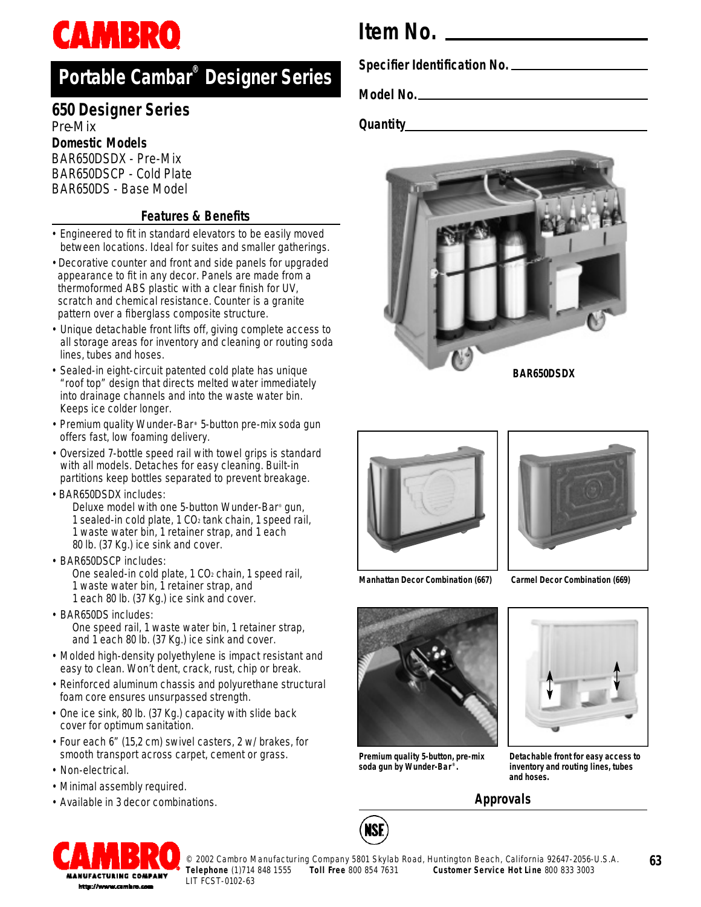# **CAMBRO**

## **P o rtable Cambar® Designer Series**

### **650 Designer Series** Pre-Mix

**Domestic Models**

BAR650DSDX - Pre-Mix BAR650DSCP - Cold Plate BAR650DS - Base Model

### **Features & Benefits**

- Engineered to fit in standard elevators to be easily moved between locations. Ideal for suites and smaller gatherings.
- Decorative counter and front and side panels for upgraded appearance to fit in any decor. Panels are made from a thermoformed ABS plastic with a clear finish for UV, scratch and chemical resistance. Counter is a granite pattern over a fiberglass composite structure.
- Unique detachable front lifts off, giving complete access to all storage areas for inventory and cleaning or routing soda lines, tubes and hoses.
- Sealed-in eight-circuit patented cold plate has unique "roof top" design that directs melted water immediately into drainage channels and into the waste water bin. Keeps ice colder longer.
- Premium quality Wunder-Bar**®** 5-button pre-mix soda gun offers fast, low foaming delivery.
- Oversized 7-bottle speed rail with towel grips is standard with all models. Detaches for easy cleaning. Built-in partitions keep bottles separated to prevent breakage.
- BAR650DSDX includes:

Deluxe model with one 5-button Wunder-Bar® gun, 1 sealed-in cold plate, 1 CO<sup>2</sup> tank chain, 1 speed rail, 1 waste water bin, 1 retainer strap, and 1 each 80 lb. (37 Kg.) ice sink and cover.

- BAR650DSCP includes: One sealed-in cold plate, 1 CO<sub>2</sub> chain, 1 speed rail, 1 waste water bin, 1 retainer strap, and 1 each 80 lb. (37 Kg.) ice sink and cover.
- BAR650DS includes: One speed rail, 1 waste water bin, 1 retainer strap, and 1 each 80 lb. (37 Kg.) ice sink and cover.
- Molded high-density polyethylene is impact resistant and easy to clean. Won't dent, crack, rust, chip or break.
- Reinforced aluminum chassis and polyurethane structural foam core ensures unsurpassed strength.
- One ice sink, 80 lb. (37 Kg.) capacity with slide back cover for optimum sanitation.
- Four each 6" (15,2 cm) swivel casters, 2 w/ brakes, for smooth transport across carpet, cement or grass.
- Non-electrical.
- Minimal assembly required.
- Available in 3 decor combinations.

## **Item No.**

**Specifier Identification No.**

**Model No.**

**Quantity**







**Manhattan Decor Combination (667) Carmel Decor Combination (669)**



**Premium quality 5-button, pre-mix soda gun by Wunder-Bar ® .**

NSF



**Detachable front for easy access to inventory and routing lines, tubes and hoses.**

### **Approvals**



© 2002 Cambro Manufacturing Company 5801 Skylab Road, Huntington Beach, California 92647-2056-U.S.A.<br>Telephone (1)714 848 1555 Toll Free 800 854 7631 Customer Service Hot Line 800 833 3003 LIT FCST-0102-63

**Toll Free 800 854 7631 Customer Service Hot Line 800 833 3003** 

**63**